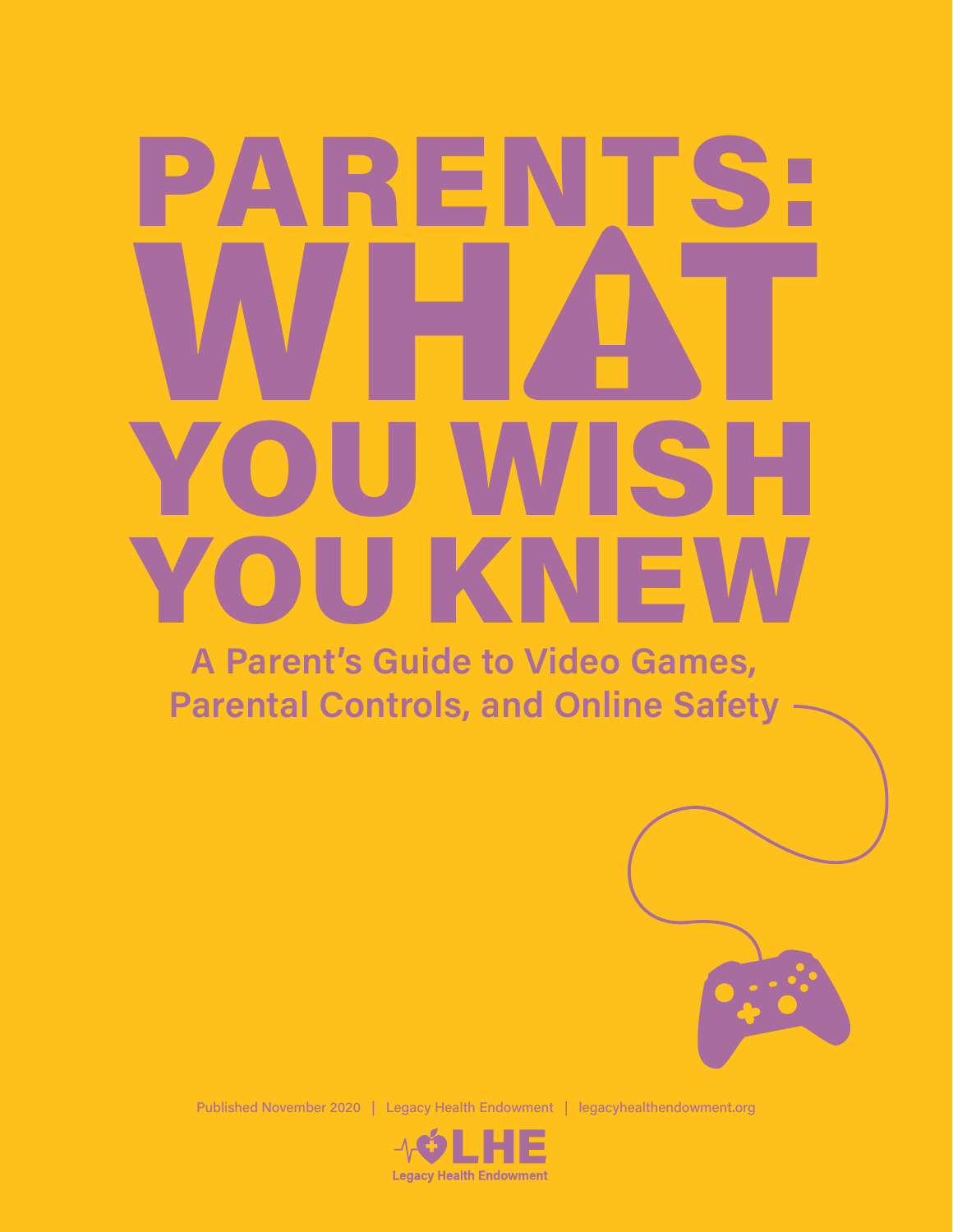# WHAT **YOU** YOU WISH **PARENT**

**A Parent's Guide to Video Games, Parental Controls, and Online Safety**



Published November 2020 | Legacy Health Endowment | legacyhealthendowment.org

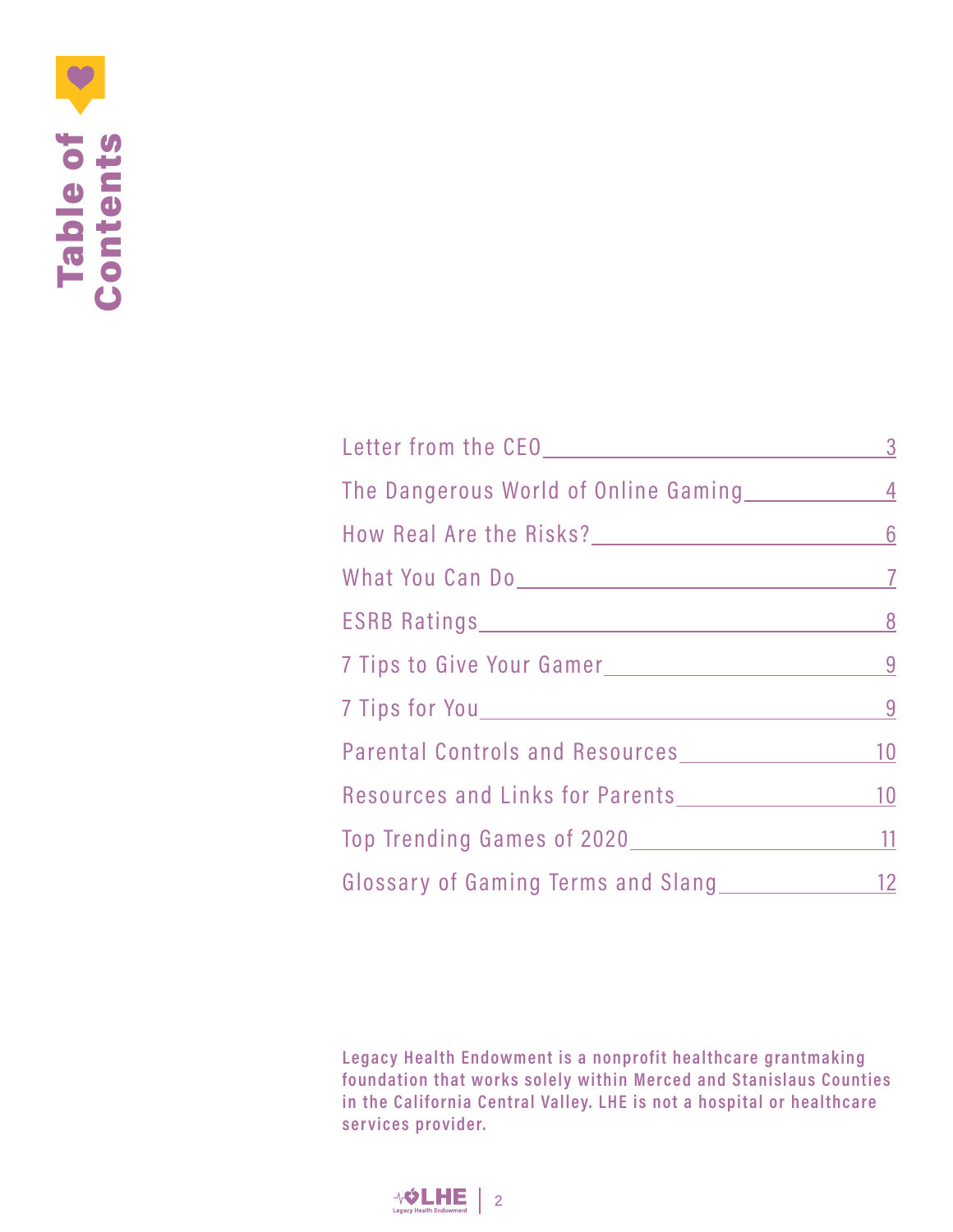

| The Dangerous World of Online Gaming 1977 1988 |  |
|------------------------------------------------|--|
|                                                |  |
|                                                |  |
|                                                |  |
| 7 Tips to Give Your Gamer                      |  |
|                                                |  |
| Parental Controls and Resources 2012 10        |  |
| Resources and Links for Parents<br>10          |  |
| Top Trending Games of 2020<br><u>11</u>        |  |
| Glossary of Gaming Terms and Slang 12          |  |

**Legacy Health Endowment is a nonprofit healthcare grantmaking** foundation that works solely within Merced and Stanislaus Counties **in the California Central Valley. LHE is not a hospital or healthcare services provider.**

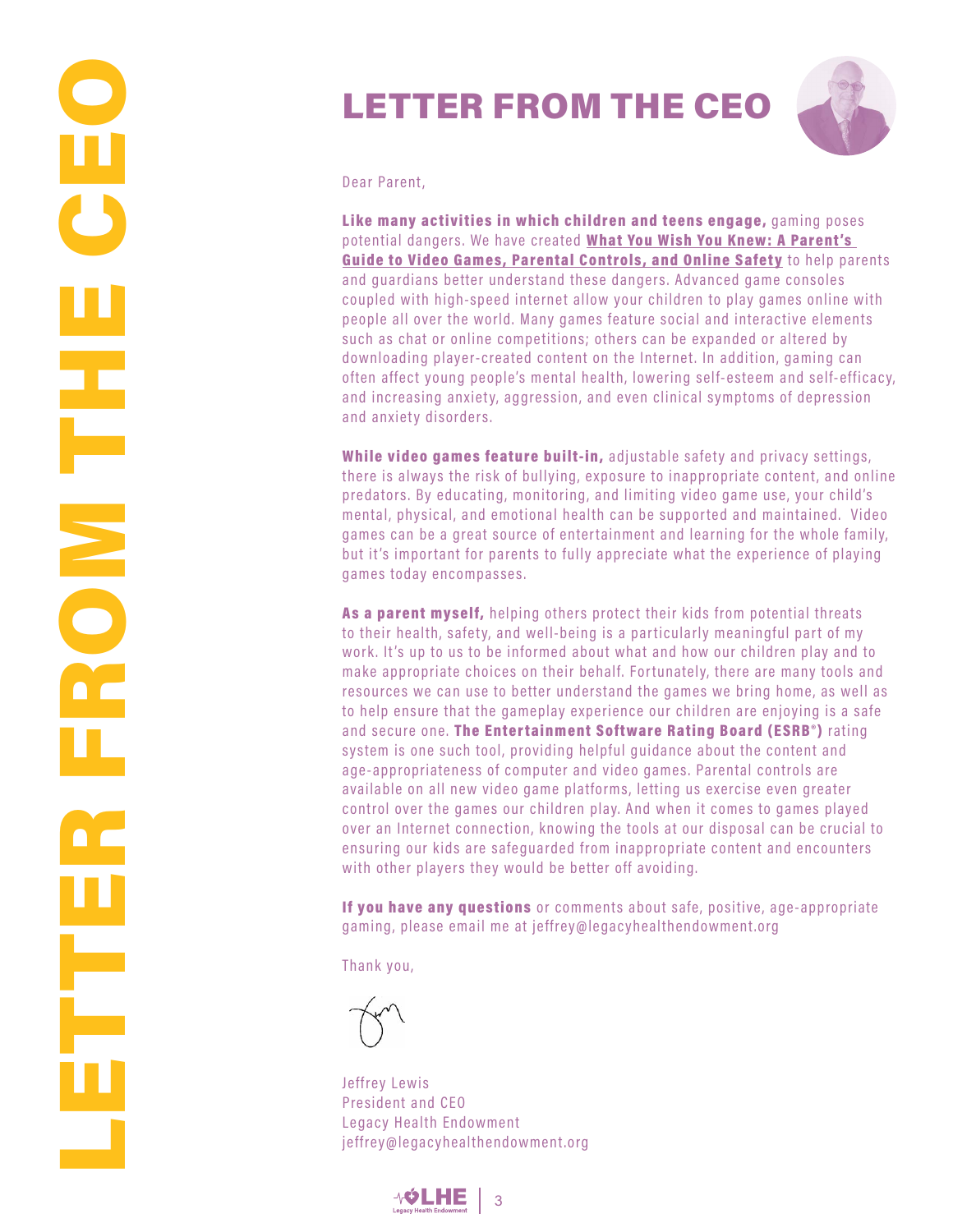### LETTER FROM THE CEO



Dear Parent,

Like many activities in which children and teens engage, gaming poses potential dangers. We have created What You Wish You Knew: A Parent's Guide to Video Games, Parental Controls, and Online Safety to help parents and guardians better understand these dangers. Advanced game consoles coupled with high-speed internet allow your children to play games online with people all over the world. Many games feature social and interactive elements such as chat or online competitions; others can be expanded or altered by downloading player-created content on the Internet. In addition, gaming can often affect young people's mental health, lowering self-esteem and self-efficacy, and increasing anxiety, aggression, and even clinical symptoms of depression and anxiety disorders.

While video games feature built-in, adjustable safety and privacy settings, there is always the risk of bullying, exposure to inappropriate content, and online predators. By educating, monitoring, and limiting video game use, your child's mental, physical, and emotional health can be suppor ted and maintained. Video games can be a great source of entertainment and learning for the whole family, but it's important for parents to fully appreciate what the experience of playing games today encompasses.

As a parent myself, helping others protect their kids from potential threats to their health, safety, and well-being is a particularly meaningful part of my work. It's up to us to be informed about what and how our children play and to make appropriate choices on their behalf. Fortunately, there are many tools and resources we can use to better understand the games we bring home, as well as to help ensure that the gameplay experience our children are enjoying is a safe and secure one. The Entertainment Software Rating Board (ESRB<sup>®</sup>) rating system is one such tool, providing helpful guidance about the content and age-appropriateness of computer and video games. Parental controls are available on all new video game platforms, letting us exercise even greater control over the games our children play. And when it comes to games played over an Internet connection, knowing the tools at our disposal can be crucial to ensuring our kids are safeguarded from inappropriate content and encounters with other players they would be better off avoiding.

If you have any questions or comments about safe, positive, age-appropriate gaming, please email me at jeffrey@legacyhealthendowment.org

Thank you,

Jeffrey Lewis President and CEO Legacy Health Endowment jeffrey@legacyhealthendowment.org

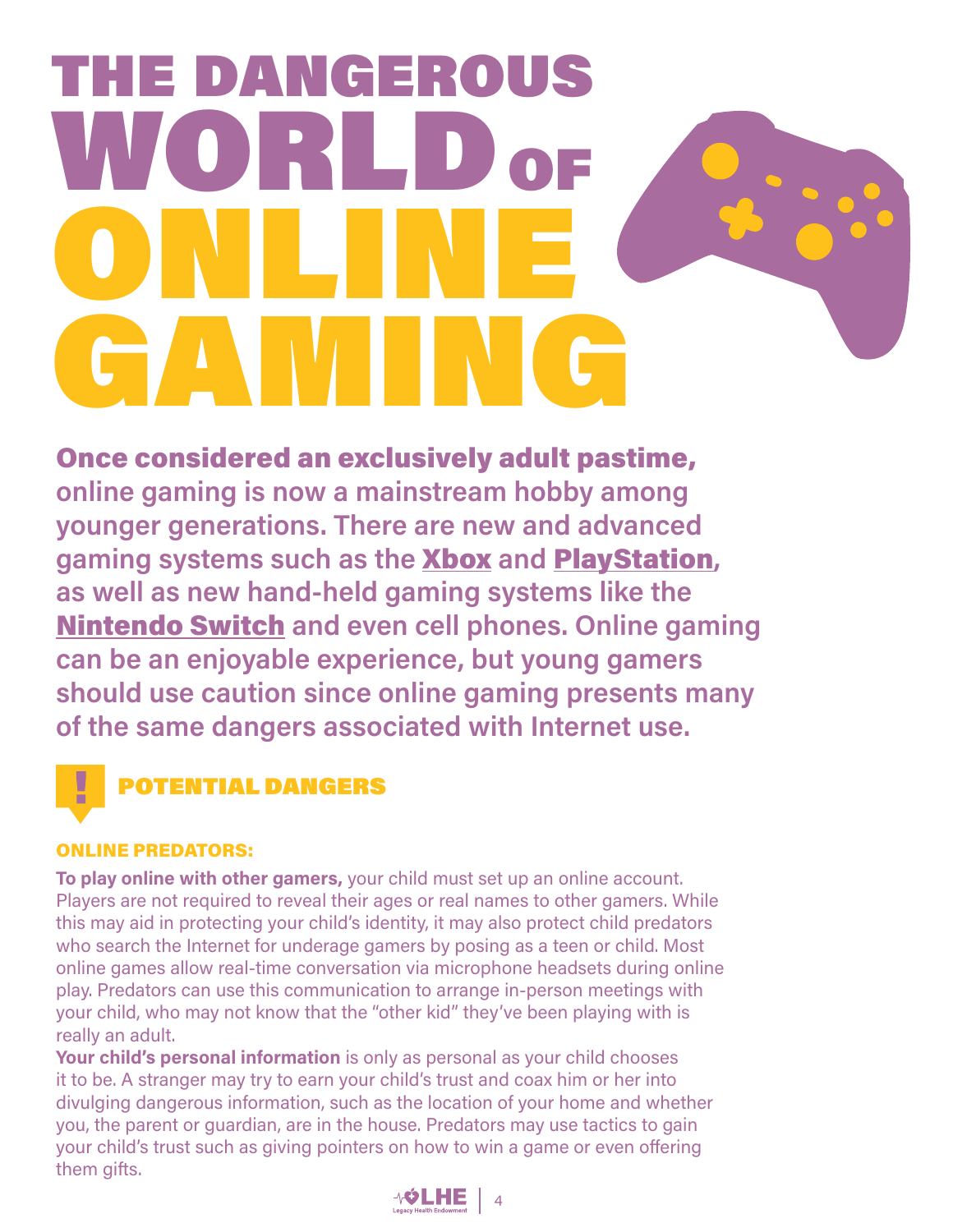## THE DANGEROUS WORLD OF ONLINE GAMING

Once considered an exclusively adult pastime, **online gaming is now a mainstream hobby among younger generations. There are new and advanced gaming systems such as the** Xbox **and** PlayStation**, as well as new hand-held gaming systems like the**  Nintendo Switch **and even cell phones. Online gaming can be an enjoyable experience, but young gamers should use caution since online gaming presents many of the same dangers associated with Internet use.**

### POTENTIAL DANGERS

### ONLINE PREDATORS:

**To play online with other gamers,** your child must set up an online account. Players are not required to reveal their ages or real names to other gamers. While this may aid in protecting your child's identity, it may also protect child predators who search the Internet for underage gamers by posing as a teen or child. Most online games allow real-time conversation via microphone headsets during online play. Predators can use this communication to arrange in-person meetings with your child, who may not know that the "other kid" they've been playing with is really an adult.

**Your child's personal information** is only as personal as your child chooses it to be. A stranger may try to earn your child's trust and coax him or her into divulging dangerous information, such as the location of your home and whether you, the parent or guardian, are in the house. Predators may use tactics to gain your child's trust such as giving pointers on how to win a game or even offering them gifts.

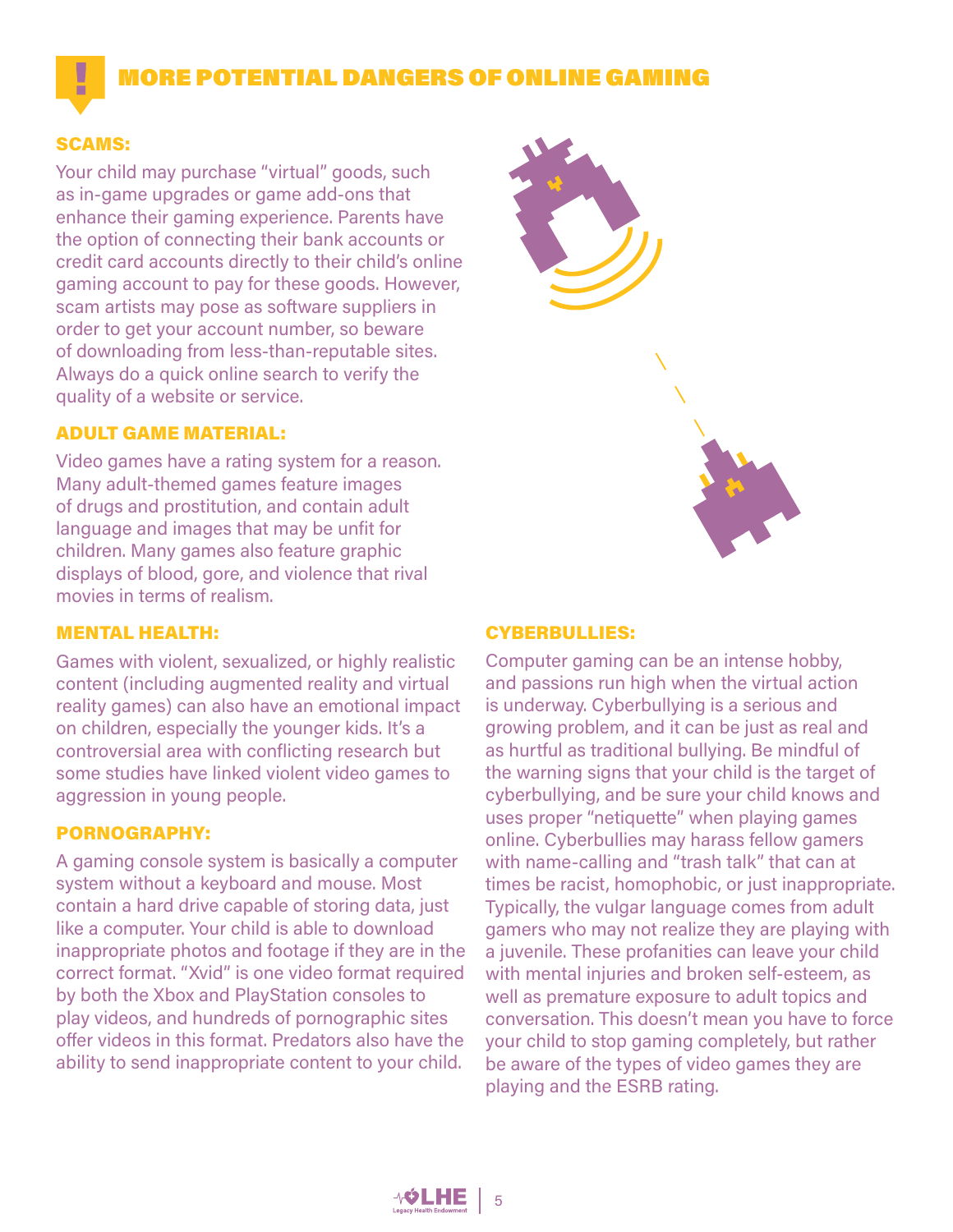### MORE POTENTIAL DANGERS OF ONLINE GAMING

### SCAMS:

۷

Your child may purchase "virtual" goods, such as in-game upgrades or game add-ons that enhance their gaming experience. Parents have the option of connecting their bank accounts or credit card accounts directly to their child's online gaming account to pay for these goods. However, scam artists may pose as software suppliers in order to get your account number, so beware of downloading from less-than-reputable sites. Always do a quick online search to verify the quality of a website or service.

### ADULT GAME MATERIAL:

Video games have a rating system for a reason. Many adult-themed games feature images of drugs and prostitution, and contain adult language and images that may be unfit for children. Many games also feature graphic displays of blood, gore, and violence that rival movies in terms of realism.

### MENTAL HEALTH:

Games with violent, sexualized, or highly realistic content (including augmented reality and virtual reality games) can also have an emotional impact on children, especially the younger kids. It's a controversial area with conflicting research but some studies have linked violent video games to aggression in young people.

### PORNOGRAPHY:

A gaming console system is basically a computer system without a keyboard and mouse. Most contain a hard drive capable of storing data, just like a computer. Your child is able to download inappropriate photos and footage if they are in the correct format. "Xvid" is one video format required by both the Xbox and PlayStation consoles to play videos, and hundreds of pornographic sites offer videos in this format. Predators also have the ability to send inappropriate content to your child.



### CYBERBULLIES:

Computer gaming can be an intense hobby, and passions run high when the virtual action is underway. Cyberbullying is a serious and growing problem, and it can be just as real and as hurtful as traditional bullying. Be mindful of the warning signs that your child is the target of cyberbullying, and be sure your child knows and uses proper "netiquette" when playing games online. Cyberbullies may harass fellow gamers with name-calling and "trash talk" that can at times be racist, homophobic, or just inappropriate. Typically, the vulgar language comes from adult gamers who may not realize they are playing with a juvenile. These profanities can leave your child with mental injuries and broken self-esteem, as well as premature exposure to adult topics and conversation. This doesn't mean you have to force your child to stop gaming completely, but rather be aware of the types of video games they are playing and the ESRB rating.

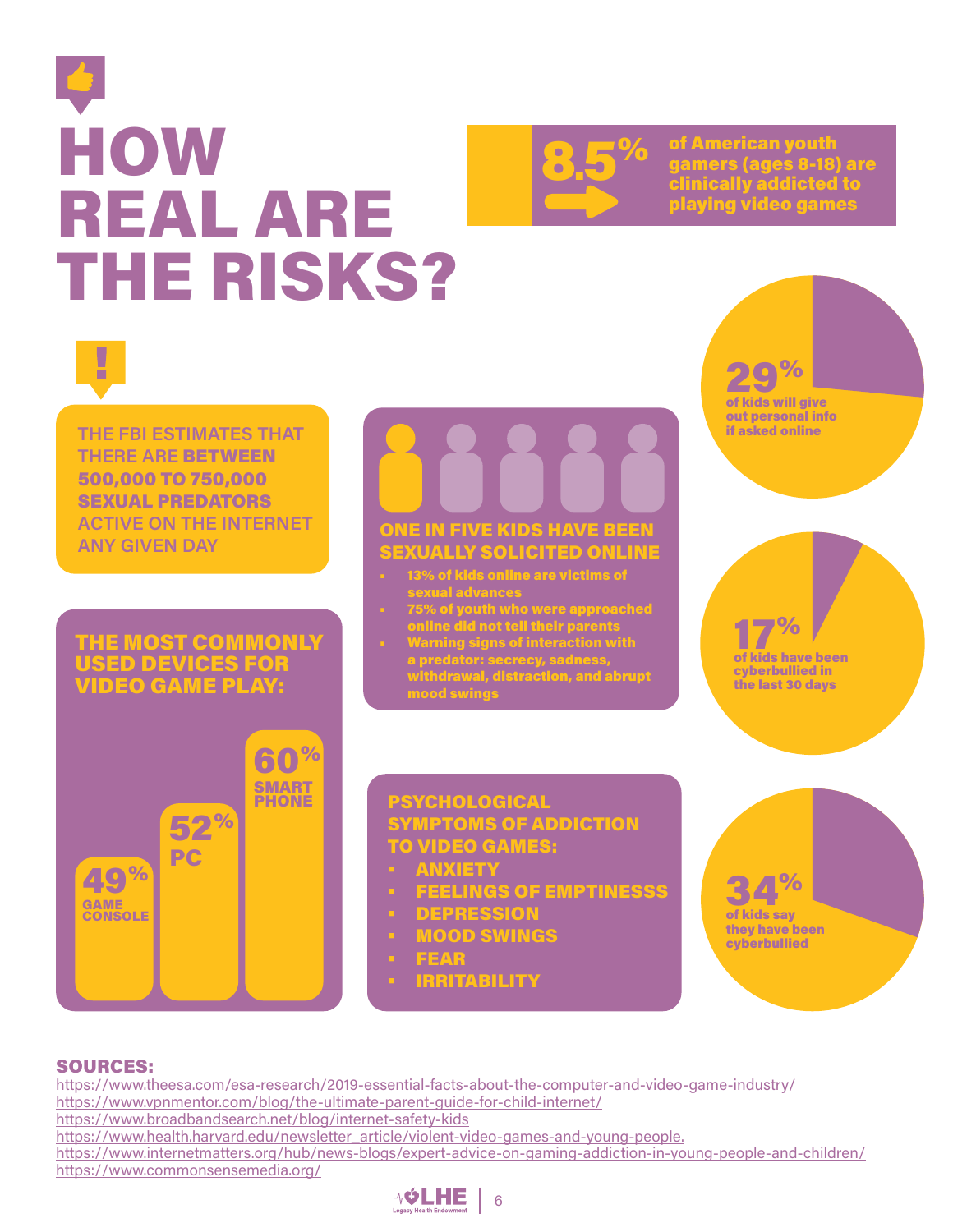### **HOW** REAL ARE THE RISKS?



**8.5%** of American youth<br>dinically addicted<br>clinically addicted gamers (ages 8-18) are clinically addicted to playing video games



**THE FBI ESTIMATES THAT THERE ARE** BETWEEN 500,000 TO 750,000 SEXUAL PREDATORS **ACTIVE ON THE INTERNET ANY GIVEN DAY**

### THE MOST COMMONLY USED DEVICES FOR VIDEO GAME PLAY:

# ONE IN FIVE KIDS HAVE BEEN

### SEXUALLY SOLICITED ONLINE

- 13% of kids online are victims of sexual advances
- 75% of youth who were approached online did not tell their parents
- Warning signs of interaction with a predator: secrecy, sadness, withdrawal, distraction, and abrupt mood swings



of kids will give out personal info if asked online

17% of kids have been cyberbullied in the last 30 days



### PSYCHOLOGICAL SYMPTOMS OF ADDICTION TO VIDEO GAMES:

- **ANXIETY**
- FEELINGS OF EMPTINESSS
- DEPRESSION
- MOOD SWINGS
	- **FEAR**
- **IRRITABILITY**



### SOURCES:

https://www.theesa.com/esa-research/2019-essential-facts-about-the-computer-and-video-game-industry/ https://www.vpnmentor.com/blog/the-ultimate-parent-guide-for-child-internet/ https://www.broadbandsearch.net/blog/internet-safety-kids https://www.health.harvard.edu/newsletter\_article/violent-video-games-and-young-people. https://www.internetmatters.org/hub/news-blogs/expert-advice-on-gaming-addiction-in-young-people-and-children/ https://www.commonsensemedia.org/

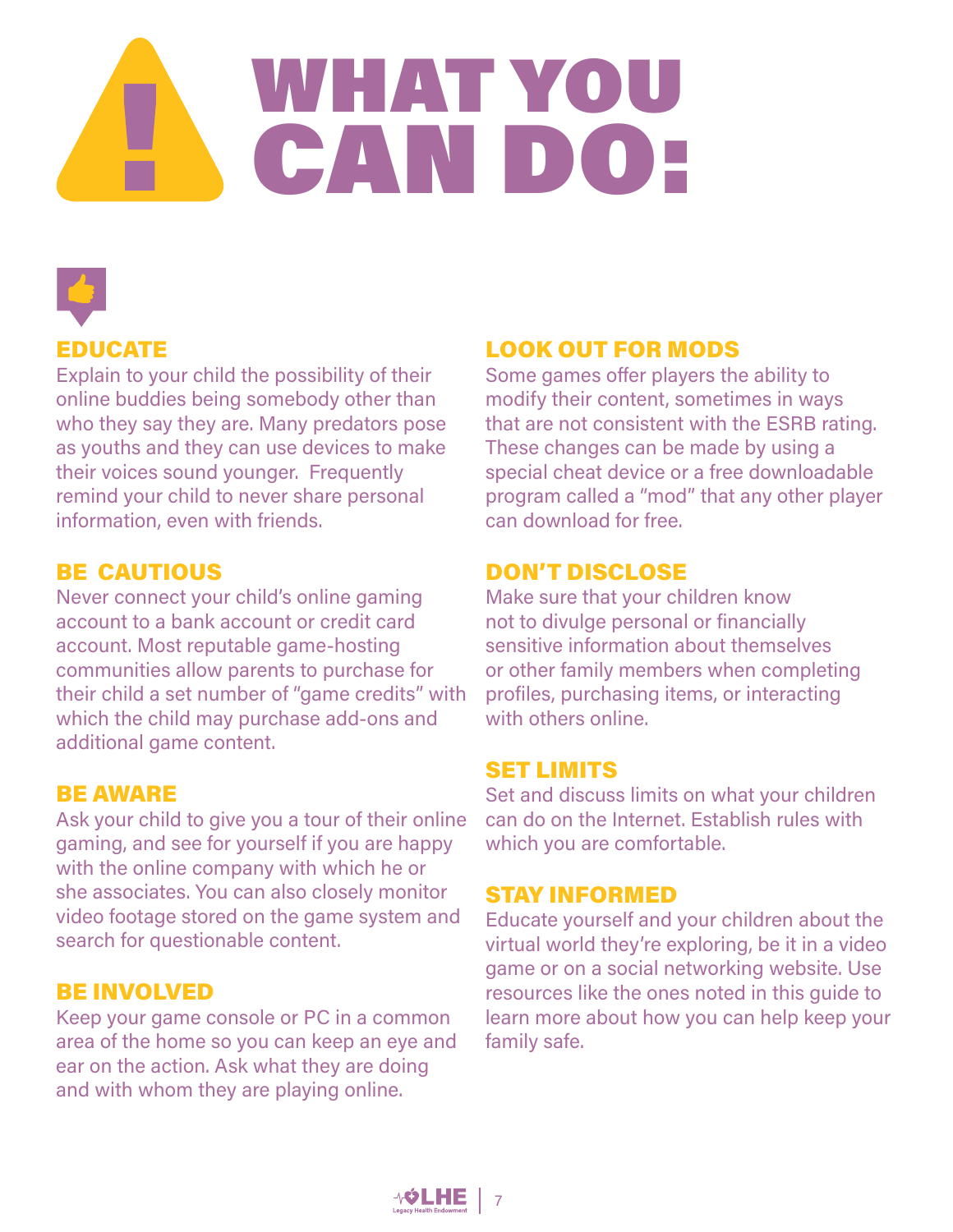## WHAT YOU CAN DO:



### EDUCATE

Explain to your child the possibility of their online buddies being somebody other than who they say they are. Many predators pose as youths and they can use devices to make their voices sound younger. Frequently remind your child to never share personal information, even with friends.

### BE CAUTIOUS

Never connect your child's online gaming account to a bank account or credit card account. Most reputable game-hosting communities allow parents to purchase for their child a set number of "game credits" with which the child may purchase add-ons and additional game content.

### BE AWARE

Ask your child to give you a tour of their online gaming, and see for yourself if you are happy with the online company with which he or she associates. You can also closely monitor video footage stored on the game system and search for questionable content.

### BE INVOLVED

Keep your game console or PC in a common area of the home so you can keep an eye and ear on the action. Ask what they are doing and with whom they are playing online.

### LOOK OUT FOR MODS

Some games offer players the ability to modify their content, sometimes in ways that are not consistent with the ESRB rating. These changes can be made by using a special cheat device or a free downloadable program called a "mod" that any other player can download for free.

### DON'T DISCLOSE

Make sure that your children know not to divulge personal or financially sensitive information about themselves or other family members when completing profiles, purchasing items, or interacting with others online.

### SET LIMITS

Set and discuss limits on what your children can do on the Internet. Establish rules with which you are comfortable.

### STAY INFORMED

Educate yourself and your children about the virtual world they're exploring, be it in a video game or on a social networking website. Use resources like the ones noted in this guide to learn more about how you can help keep your family safe.

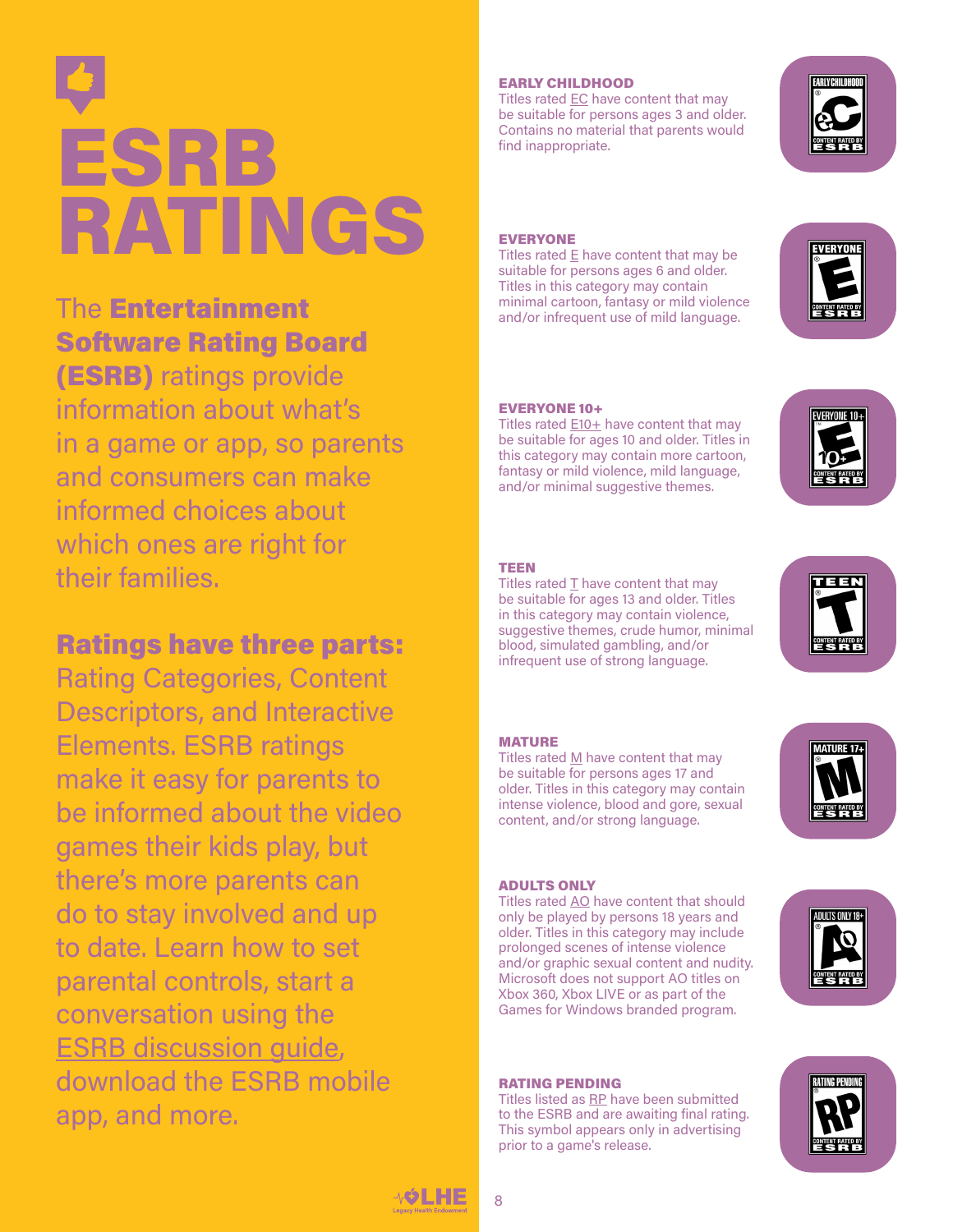# ESRB RATINGS

### The Entertainment Software Rating Board (ESRB) ratings provide

information about what's in a game or app, so parents and consumers can make informed choices about which ones are right for their families.

### Ratings have three parts:

Rating Categories, Content Descriptors, and Interactive Elements. ESRB ratings make it easy for parents to be informed about the video games their kids play, but there's more parents can do to stay involved and up to date. Learn how to set parental controls, start a conversation using the [ESRB discussion guide](https://www.esrb.org/tools-for-parents/family-guide/), download the ESRB mobile app, and more.

### EARLY CHILDHOOD

Titles rated EC have content that may be suitable for persons ages 3 and older. Contains no material that parents would find inappropriate.



### EVERYONE

Titles rated  $E$  have content that may be suitable for persons ages 6 and older. Titles in this category may contain minimal cartoon, fantasy or mild violence and/or infrequent use of mild language.



### EVERYONE 10+

Titles rated  $E10+$  have content that may be suitable for ages 10 and older. Titles in this category may contain more cartoon, fantasy or mild violence, mild language, and/or minimal suggestive themes.



### TEEN

Titles rated T have content that may be suitable for ages 13 and older. Titles in this category may contain violence, suggestive themes, crude humor, minimal blood, simulated gambling, and/or infrequent use of strong language.



### MATURE

Titles rated  $M$  have content that may be suitable for persons ages 17 and older. Titles in this category may contain intense violence, blood and gore, sexual content, and/or strong language.



### ADULTS ONLY

Titles rated AO have content that should only be played by persons 18 years and older. Titles in this category may include prolonged scenes of intense violence and/or graphic sexual content and nudity. Microsoft does not support AO titles on Xbox 360, Xbox LIVE or as part of the Games for Windows branded program.



Titles listed as RP have been submitted to the ESRB and are awaiting final rating. This symbol appears only in advertising prior to a game's release.





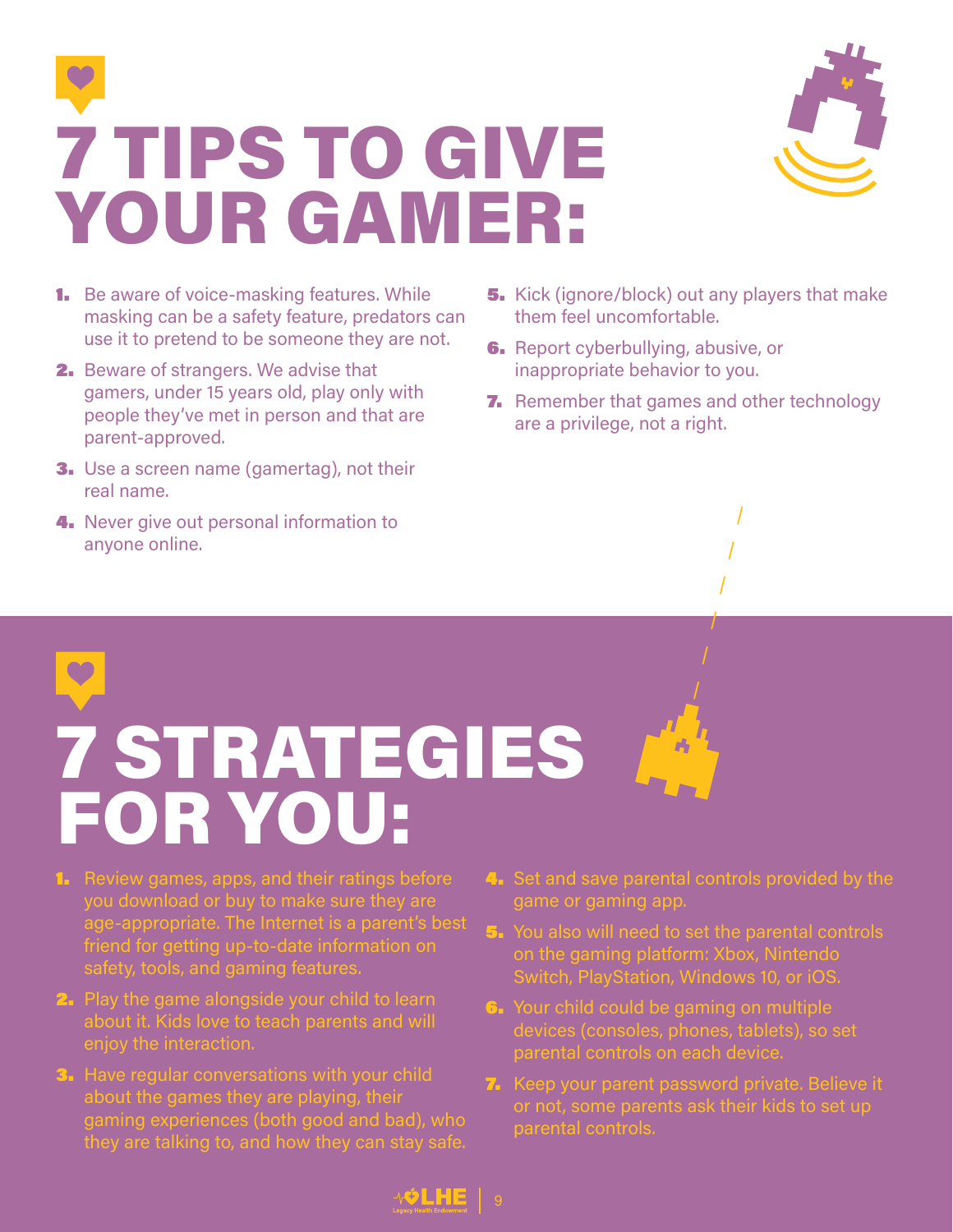7 TIPS TO GIVE YOUR GAMER:



- **1.** Be aware of voice-masking features. While masking can be a safety feature, predators can use it to pretend to be someone they are not.
- 2. Beware of strangers. We advise that gamers, under 15 years old, play only with people they've met in person and that are parent-approved.
- **3.** Use a screen name (gamertag), not their real name.
- 4. Never give out personal information to anyone online.
- **5.** Kick (ignore/block) out any players that make them feel uncomfortable.
- **6.** Report cyberbullying, abusive, or inappropriate behavior to you.
- **7.** Remember that games and other technology are a privilege, not a right.

## 7 STRATEGIES FOR YOU:

- **1.** Review games, apps, and their ratings before you download or buy to make sure they are age-appropriate. The Internet is a parent's best friend for getting up-to-date information on safety, tools, and gaming features.
- **2.** Play the game alongside your child to learn about it. Kids love to teach parents and will enjoy the interaction.
- **3.** Have regular conversations with your child about the games they are playing, their gaming experiences (both good and bad), who they are talking to, and how they can stay safe.
- 4. Set and save parental controls provided by the game or gaming app.
- 5. You also will need to set the parental controls on the gaming platform: Xbox, Nintendo Switch, PlayStation, Windows 10, or iOS.
- **6.** Your child could be gaming on multiple devices (consoles, phones, tablets), so set
- **7.** Keep your parent password private. Believe it or not, some parents ask their kids to set up parental controls.

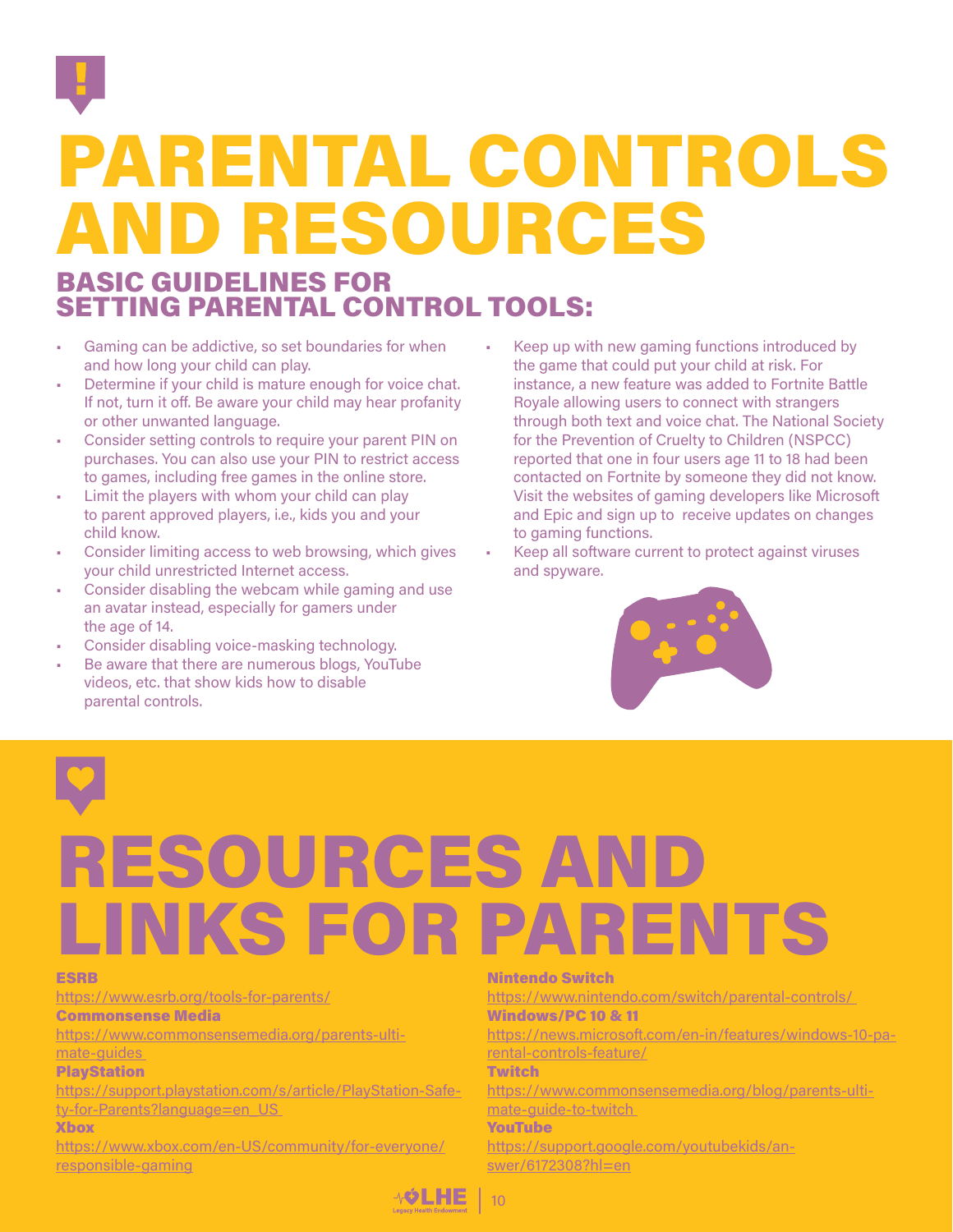

### PARENTAL CONTROLS AND RESOURCES

### BASIC GUIDELINES FOR SETTING PARENTAL CONTROL TOOLS:

- Gaming can be addictive, so set boundaries for when and how long your child can play.
- Determine if your child is mature enough for voice chat. If not, turn it off. Be aware your child may hear profanity or other unwanted language.
- Consider setting controls to require your parent PIN on purchases. You can also use your PIN to restrict access to games, including free games in the online store.
- Limit the players with whom your child can play to parent approved players, i.e., kids you and your child know.
- Consider limiting access to web browsing, which gives your child unrestricted Internet access.
- Consider disabling the webcam while gaming and use an avatar instead, especially for gamers under the age of 14.
- Consider disabling voice-masking technology.
- Be aware that there are numerous blogs, YouTube videos, etc. that show kids how to disable parental controls.
- Keep up with new gaming functions introduced by the game that could put your child at risk. For instance, a new feature was added to Fortnite Battle Royale allowing users to connect with strangers through both text and voice chat. The National Society for the Prevention of Cruelty to Children (NSPCC) reported that one in four users age 11 to 18 had been contacted on Fortnite by someone they did not know. Visit the websites of gaming developers like Microsoft and Epic and sign up to receive updates on changes to gaming functions.
- Keep all software current to protect against viruses and spyware.



### RESOURCES AND LINKS FOR PARENTS

### ESRB

<https://www.esrb.org/tools-for-parents/> Commonsense Media

[https://www.commonsensemedia.org/parents-ulti-](https://www.commonsensemedia.org/parents-ultimate-guides )

### [mate-guides](https://www.commonsensemedia.org/parents-ultimate-guides )

**PlayStation** 

[https://support.playstation.com/s/article/PlayStation-Safe](https://support.playstation.com/s/article/PlayStation-Safety-for-Parents?language=en_US )ty-for-Parents?language=en\_US

### Xbox

[https://www.xbox.com/en-US/community/for-everyone/](https://www.xbox.com/en-US/community/for-everyone/responsible-gaming) [responsible-gaming](https://www.xbox.com/en-US/community/for-everyone/responsible-gaming)

### Nintendo Switch

[https://www.nintendo.com/switch/parental-controls/](https://www.nintendo.com/switch/parental-controls/ )  Windows/PC 10 & 11

[https://news.microsoft.com/en-in/features/windows-10-pa](https://news.microsoft.com/en-in/features/windows-10-parental-controls-feature/)[rental-controls-feature/](https://news.microsoft.com/en-in/features/windows-10-parental-controls-feature/)

### **Twitch**

[https://www.commonsensemedia.org/blog/parents-ulti](https://www.commonsensemedia.org/blog/parents-ultimate-guide-to-twitch )[mate-guide-to-twitch](https://www.commonsensemedia.org/blog/parents-ultimate-guide-to-twitch ) 

### YouTube

[https://support.google.com/youtubekids/an](https://support.google.com/youtubekids/answer/6172308?hl=en)[swer/6172308?hl=en](https://support.google.com/youtubekids/answer/6172308?hl=en)

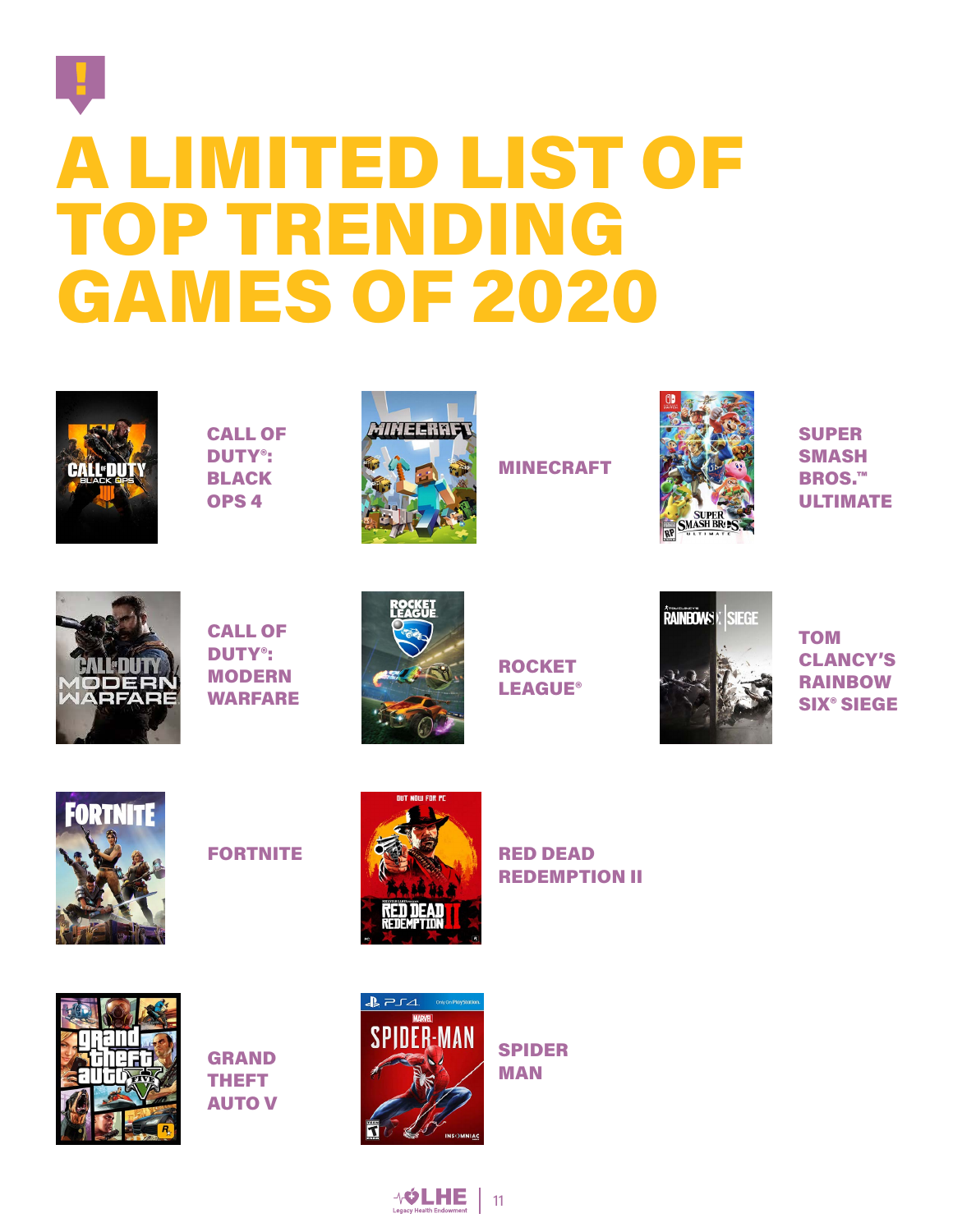### A LIMITED LIST OF TOP TRENDING GAMES OF 2020



CALL OF DUTY®: BLACK OPS 4



MINECRAFT



SUPER SMASH BROS.™ ULTIMATE



CALL OF DUTY®: MODERN WARFARE



ROCKET LEAGUE®



**TOM** CLANCY'S RAINBOW SIX® SIEGE



**FORTNITE** 



RED DEAD REDEMPTION II



GRAND THEFT AUTO V



SPIDER MAN

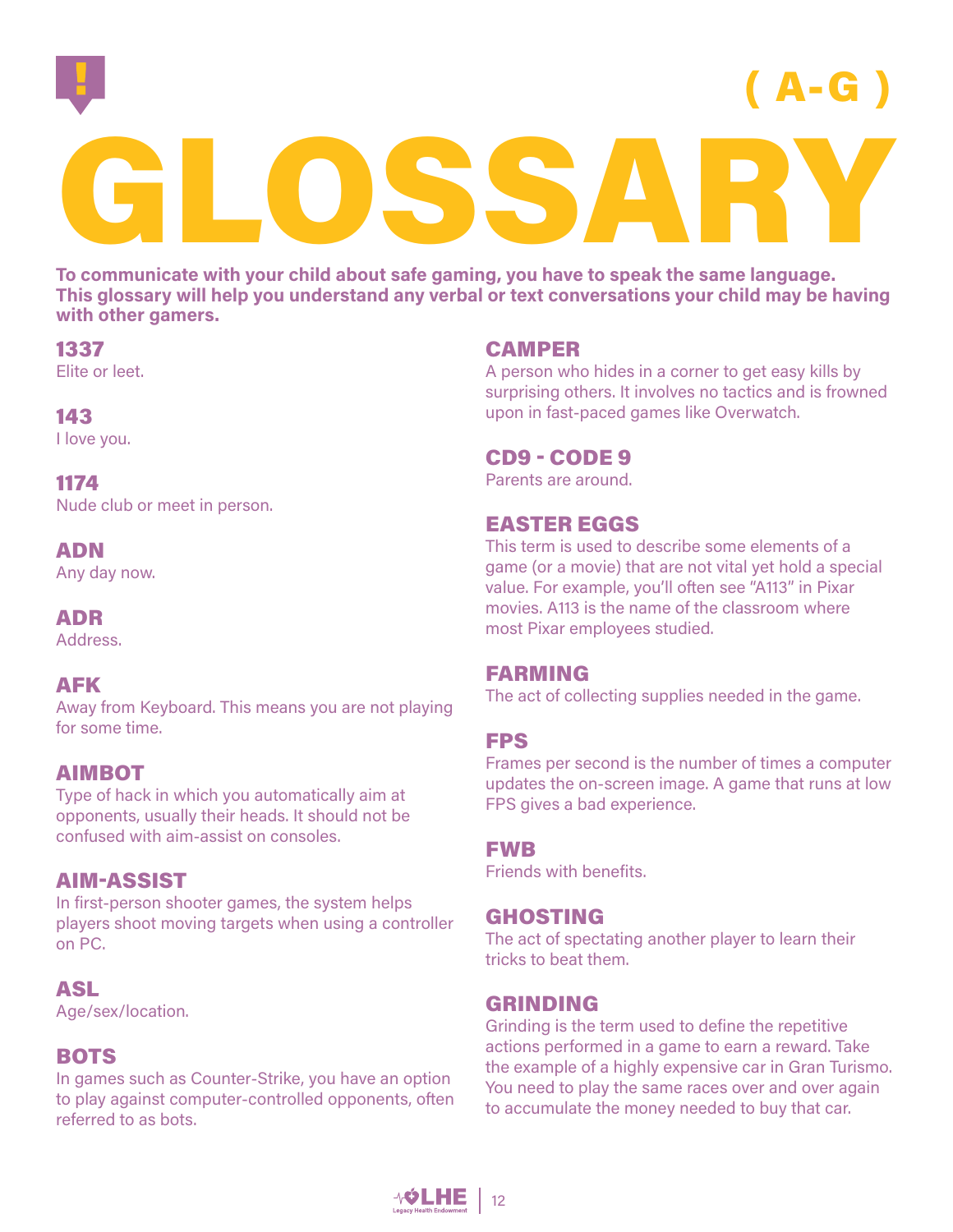

A-G

# GLOSSARY

**To communicate with your child about safe gaming, you have to speak the same language. This glossary will help you understand any verbal or text conversations your child may be having with other gamers.**

### 1337

Elite or leet.

### 143

I love you.

### 1174

Nude club or meet in person.

### ADN

Any day now.

### ADR

Address.

### AFK

Away from Keyboard. This means you are not playing for some time.

### AIMBOT

Type of hack in which you automatically aim at opponents, usually their heads. It should not be confused with aim-assist on consoles.

### AIM-ASSIST

In first-person shooter games, the system helps players shoot moving targets when using a controller on PC.

### ASL

Age/sex/location.

### **BOTS**

In games such as Counter-Strike, you have an option to play against computer-controlled opponents, often referred to as bots.

### CAMPER

A person who hides in a corner to get easy kills by surprising others. It involves no tactics and is frowned upon in fast-paced games like Overwatch.

### CD9 - CODE 9

Parents are around.

### EASTER EGGS

This term is used to describe some elements of a game (or a movie) that are not vital yet hold a special value. For example, you'll often see "A113" in Pixar movies. A113 is the name of the classroom where most Pixar employees studied.

### FARMING

The act of collecting supplies needed in the game.

### FPS

Frames per second is the number of times a computer updates the on-screen image. A game that runs at low FPS gives a bad experience.

### FWB

Friends with benefits.

### GHOSTING

The act of spectating another player to learn their tricks to beat them.

### GRINDING

Grinding is the term used to define the repetitive actions performed in a game to earn a reward. Take the example of a highly expensive car in Gran Turismo. You need to play the same races over and over again to accumulate the money needed to buy that car.